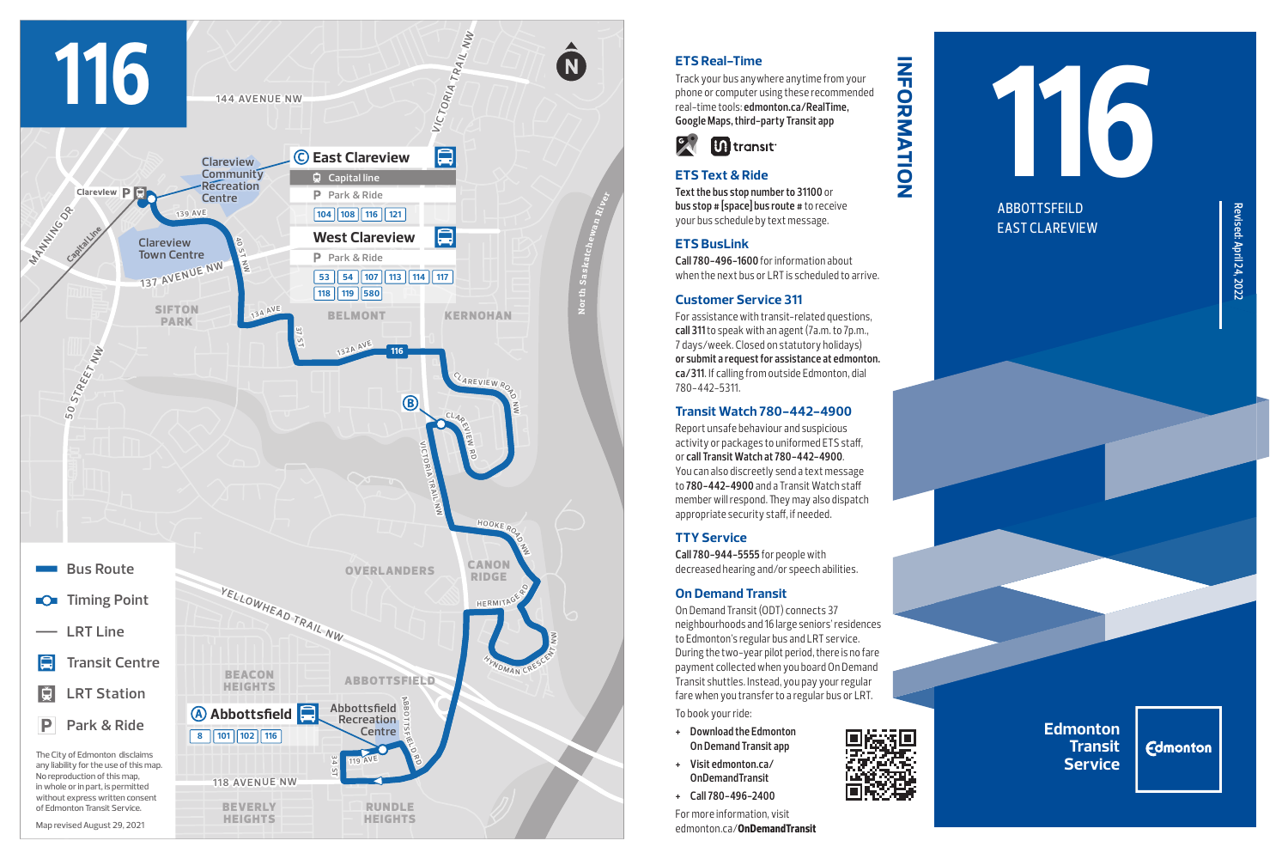

## **ETS Real-Time**

Track your bus anywhere anytime from your phone or computer using these recommended real-time tools: **edmonton.ca/RealTime, Google Maps, third-party Transit app**

**information**

**INFORMATION** 



# **ETS Text & Ride**

**Text the bus stop number to 31100** or **bus stop # [space] bus route #** to receive your bus schedule by text message.

#### **ETS BusLink**

**Call 780-496-1600** for information about when the next bus or LRT is scheduled to arrive.

#### **Customer Service 311**

For assistance with transit-related questions, **call 311** to speak with an agent (7a.m. to 7p.m., 7 days/week. Closed on statutory holidays) **or submit a request for assistance at edmonton. ca/311**. If calling from outside Edmonton, dial 780-442-5311.

## **Transit Watch 780-442-4900**

Report unsafe behaviour and suspicious activity or packages to uniformed ETS staff, or **call Transit Watch at 780-442-4900**. You can also discreetly send a text message to **780-442-4900** and a Transit Watch staff member will respond. They may also dispatch appropriate security staff, if needed.

# **TTY Service**

**Call 780-944-5555** for people with decreased hearing and/or speech abilities.

## **On Demand Transit**

On Demand Transit (ODT) connects 37 neighbourhoods and 16 large seniors' residences to Edmonton's regular bus and LRT service. During the two-year pilot period, there is no fare payment collected when you board On Demand Transit shuttles. Instead, you pay your regular fare when you transfer to a regular bus or LRT. To book your ride:

- **+ Download the Edmonton On Demand Transit app**
- **+ Visit edmonton.ca/ OnDemandTransit**
- **+ Call 780-496-2400**

For more information, visit edmonton.ca/**OnDemandTransit**



EAST CLAREVIEW

**Edmonton Transit Service**

**Edmonton**